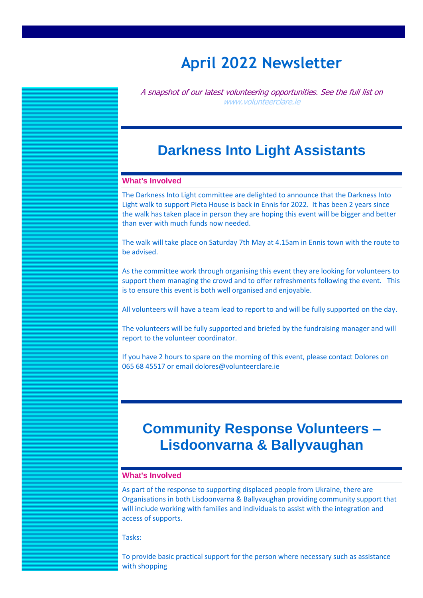# **April 2022 Newsletter**

A snapshot of our latest volunteering opportunities. See the full list on [www.volunteerclare.ie](http://www.volunteerclare.ie/)

### **Darkness Into Light Assistants**

#### **What's Involved**

The Darkness Into Light committee are delighted to announce that the Darkness Into Light walk to support Pieta House is back in Ennis for 2022. It has been 2 years since the walk has taken place in person they are hoping this event will be bigger and better than ever with much funds now needed.

The walk will take place on Saturday 7th May at 4.15am in Ennis town with the route to be advised.

As the committee work through organising this event they are looking for volunteers to support them managing the crowd and to offer refreshments following the event. This is to ensure this event is both well organised and enjoyable.

All volunteers will have a team lead to report to and will be fully supported on the day.

The volunteers will be fully supported and briefed by the fundraising manager and will report to the volunteer coordinator.

If you have 2 hours to spare on the morning of this event, please contact Dolores on 065 68 45517 or email dolores@volunteerclare.ie

### **Community Response Volunteers – Lisdoonvarna & Ballyvaughan**

### **What's Involved**

As part of the response to supporting displaced people from Ukraine, there are Organisations in both Lisdoonvarna & Ballyvaughan providing community support that will include working with families and individuals to assist with the integration and access of supports.

Tasks:

To provide basic practical support for the person where necessary such as assistance with shopping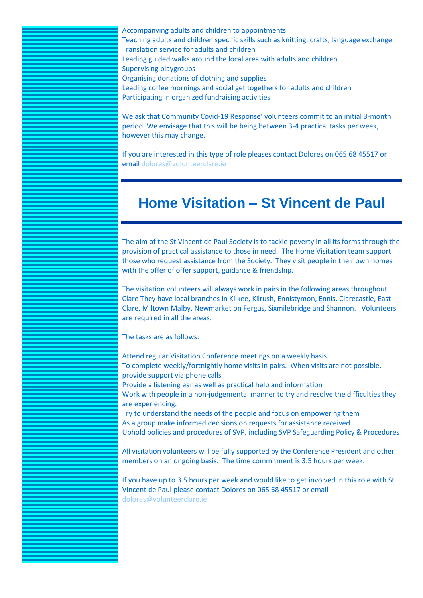Accompanying adults and children to appointments Teaching adults and children specific skills such as knitting, crafts, language exchange Translation service for adults and children Leading guided walks around the local area with adults and children Supervising playgroups Organising donations of clothing and supplies Leading coffee mornings and social get togethers for adults and children Participating in organized fundraising activities

We ask that Community Covid-19 Response' volunteers commit to an initial 3-month period. We envisage that this will be being between 3-4 practical tasks per week, however this may change.

If you are interested in this type of role pleases contact Dolores on 065 68 45517 or email [dolores@volunteerclare.ie](mailto:dolores@volunteerclare.ie)

## **Home Visitation – St Vincent de Paul**

The aim of the St Vincent de Paul Society is to tackle poverty in all its forms through the provision of practical assistance to those in need. The Home Visitation team support those who request assistance from the Society. They visit people in their own homes with the offer of offer support, guidance & friendship.

The visitation volunteers will always work in pairs in the following areas throughout Clare They have local branches in Kilkee, Kilrush, Ennistymon, Ennis, Clarecastle, East Clare, Miltown Malby, Newmarket on Fergus, Sixmilebridge and Shannon. Volunteers are required in all the areas.

The tasks are as follows:

Attend regular Visitation Conference meetings on a weekly basis. To complete weekly/fortnightly home visits in pairs. When visits are not possible, provide support via phone calls Provide a listening ear as well as practical help and information Work with people in a non-judgemental manner to try and resolve the difficulties they are experiencing. Try to understand the needs of the people and focus on empowering them As a group make informed decisions on requests for assistance received. Uphold policies and procedures of SVP, including SVP Safeguarding Policy & Procedures

All visitation volunteers will be fully supported by the Conference President and other members on an ongoing basis. The time commitment is 3.5 hours per week.

If you have up to 3.5 hours per week and would like to get involved in this role with St Vincent de Paul please contact Dolores on 065 68 45517 or email [dolores@volunteerclare.ie](mailto:dolores@volunteerclare.ie)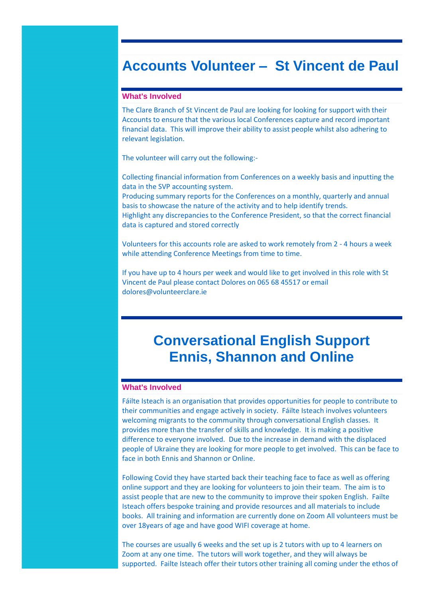### **Accounts Volunteer – St Vincent de Paul**

#### **What's Involved**

The Clare Branch of St Vincent de Paul are looking for looking for support with their Accounts to ensure that the various local Conferences capture and record important financial data. This will improve their ability to assist people whilst also adhering to relevant legislation.

The volunteer will carry out the following:-

Collecting financial information from Conferences on a weekly basis and inputting the data in the SVP accounting system. Producing summary reports for the Conferences on a monthly, quarterly and annual

basis to showcase the nature of the activity and to help identify trends.

Highlight any discrepancies to the Conference President, so that the correct financial data is captured and stored correctly

Volunteers for this accounts role are asked to work remotely from 2 - 4 hours a week while attending Conference Meetings from time to time.

If you have up to 4 hours per week and would like to get involved in this role with St Vincent de Paul please contact Dolores on 065 68 45517 or email dolores@volunteerclare.ie

## **Conversational English Support Ennis, Shannon and Online**

#### **What's Involved**

Fáilte Isteach is an organisation that provides opportunities for people to contribute to their communities and engage actively in society. Fáilte Isteach involves volunteers welcoming migrants to the community through conversational English classes. It provides more than the transfer of skills and knowledge. It is making a positive difference to everyone involved. Due to the increase in demand with the displaced people of Ukraine they are looking for more people to get involved. This can be face to face in both Ennis and Shannon or Online.

Following Covid they have started back their teaching face to face as well as offering online support and they are looking for volunteers to join their team. The aim is to assist people that are new to the community to improve their spoken English. Failte Isteach offers bespoke training and provide resources and all materials to include books. All training and information are currently done on Zoom All volunteers must be over 18years of age and have good WIFI coverage at home.

The courses are usually 6 weeks and the set up is 2 tutors with up to 4 learners on Zoom at any one time. The tutors will work together, and they will always be supported. Failte Isteach offer their tutors other training all coming under the ethos of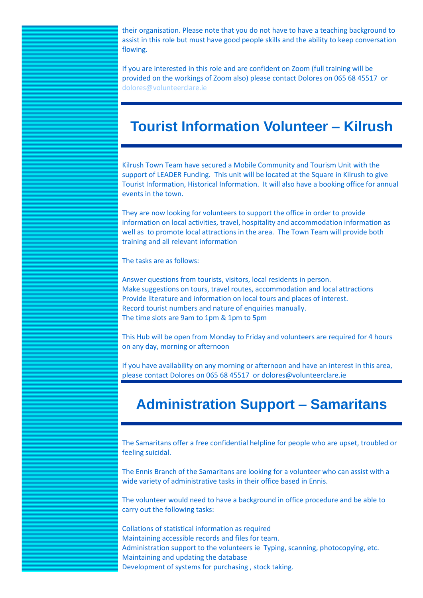their organisation. Please note that you do not have to have a teaching background to assist in this role but must have good people skills and the ability to keep conversation flowing.

If you are interested in this role and are confident on Zoom (full training will be provided on the workings of Zoom also) please contact Dolores on 065 68 45517 or [dolores@volunteerclare.ie](mailto:dolores@volunteerclare.ie)

## **Tourist Information Volunteer – Kilrush**

Kilrush Town Team have secured a Mobile Community and Tourism Unit with the support of LEADER Funding. This unit will be located at the Square in Kilrush to give Tourist Information, Historical Information. It will also have a booking office for annual events in the town.

They are now looking for volunteers to support the office in order to provide information on local activities, travel, hospitality and accommodation information as well as to promote local attractions in the area. The Town Team will provide both training and all relevant information

The tasks are as follows:

Answer questions from tourists, visitors, local residents in person. Make suggestions on tours, travel routes, accommodation and local attractions Provide literature and information on local tours and places of interest. Record tourist numbers and nature of enquiries manually. The time slots are 9am to 1pm & 1pm to 5pm

This Hub will be open from Monday to Friday and volunteers are required for 4 hours on any day, morning or afternoon

If you have availability on any morning or afternoon and have an interest in this area, please contact Dolores on 065 68 45517 or dolores@volunteerclare.ie

## **Administration Support – Samaritans**

The Samaritans offer a free confidential helpline for people who are upset, troubled or feeling suicidal.

The Ennis Branch of the Samaritans are looking for a volunteer who can assist with a wide variety of administrative tasks in their office based in Ennis.

The volunteer would need to have a background in office procedure and be able to carry out the following tasks:

Collations of statistical information as required Maintaining accessible records and files for team. Administration support to the volunteers ie Typing, scanning, photocopying, etc. Maintaining and updating the database Development of systems for purchasing , stock taking.